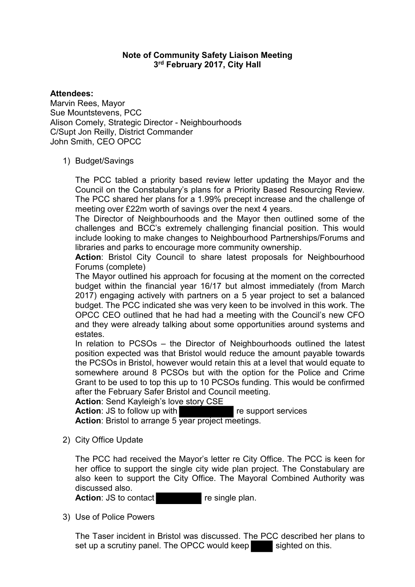## **Note of Community Safety Liaison Meeting 3rd February 2017, City Hall**

### **Attendees:**

Marvin Rees, Mayor Sue Mountstevens, PCC Alison Comely, Strategic Director - Neighbourhoods C/Supt Jon Reilly, District Commander John Smith, CEO OPCC

### 1) Budget/Savings

The PCC tabled a priority based review letter updating the Mayor and the Council on the Constabulary's plans for a Priority Based Resourcing Review. The PCC shared her plans for a 1.99% precept increase and the challenge of meeting over £22m worth of savings over the next 4 years.

The Director of Neighbourhoods and the Mayor then outlined some of the challenges and BCC's extremely challenging financial position. This would include looking to make changes to Neighbourhood Partnerships/Forums and libraries and parks to encourage more community ownership.

**Action**: Bristol City Council to share latest proposals for Neighbourhood Forums (complete)

The Mayor outlined his approach for focusing at the moment on the corrected budget within the financial year 16/17 but almost immediately (from March 2017) engaging actively with partners on a 5 year project to set a balanced budget. The PCC indicated she was very keen to be involved in this work. The OPCC CEO outlined that he had had a meeting with the Council's new CFO and they were already talking about some opportunities around systems and estates.

In relation to PCSOs – the Director of Neighbourhoods outlined the latest position expected was that Bristol would reduce the amount payable towards the PCSOs in Bristol, however would retain this at a level that would equate to somewhere around 8 PCSOs but with the option for the Police and Crime Grant to be used to top this up to 10 PCSOs funding. This would be confirmed after the February Safer Bristol and Council meeting.

**Action**: Send Kayleigh's love story CSE

**Action:** JS to follow up with **re** support services Action: Bristol to arrange 5 year project meetings.

2) City Office Update

The PCC had received the Mayor's letter re City Office. The PCC is keen for her office to support the single city wide plan project. The Constabulary are also keen to support the City Office. The Mayoral Combined Authority was discussed also.

**Action:** JS to contact re single plan.

3) Use of Police Powers

The Taser incident in Bristol was discussed. The PCC described her plans to set up a scrutiny panel. The OPCC would keep sighted on this.